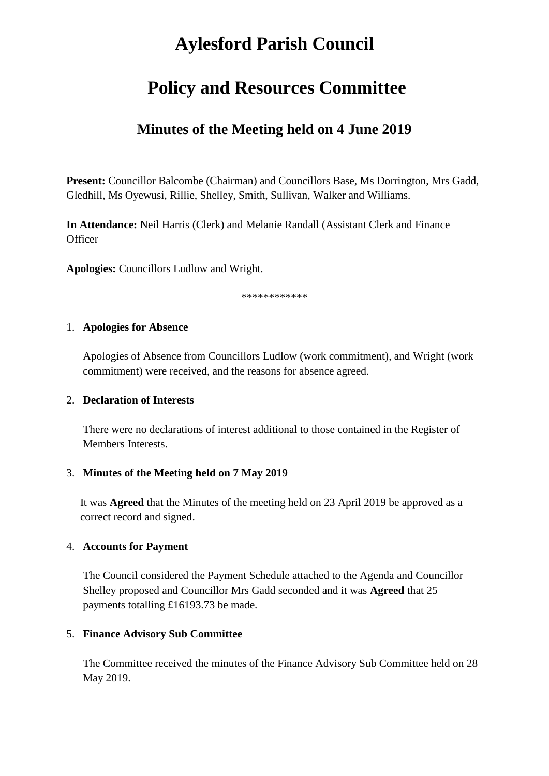# **Aylesford Parish Council**

# **Policy and Resources Committee**

# **Minutes of the Meeting held on 4 June 2019**

**Present:** Councillor Balcombe (Chairman) and Councillors Base, Ms Dorrington, Mrs Gadd, Gledhill, Ms Oyewusi, Rillie, Shelley, Smith, Sullivan, Walker and Williams.

**In Attendance:** Neil Harris (Clerk) and Melanie Randall (Assistant Clerk and Finance **Officer** 

**Apologies:** Councillors Ludlow and Wright.

\*\*\*\*\*\*\*\*\*\*\*\*

#### 1. **Apologies for Absence**

Apologies of Absence from Councillors Ludlow (work commitment), and Wright (work commitment) were received, and the reasons for absence agreed.

#### 2. **Declaration of Interests**

There were no declarations of interest additional to those contained in the Register of Members Interests.

#### 3. **Minutes of the Meeting held on 7 May 2019**

It was **Agreed** that the Minutes of the meeting held on 23 April 2019 be approved as a correct record and signed.

#### 4. **Accounts for Payment**

The Council considered the Payment Schedule attached to the Agenda and Councillor Shelley proposed and Councillor Mrs Gadd seconded and it was **Agreed** that 25 payments totalling £16193.73 be made.

#### 5. **Finance Advisory Sub Committee**

The Committee received the minutes of the Finance Advisory Sub Committee held on 28 May 2019.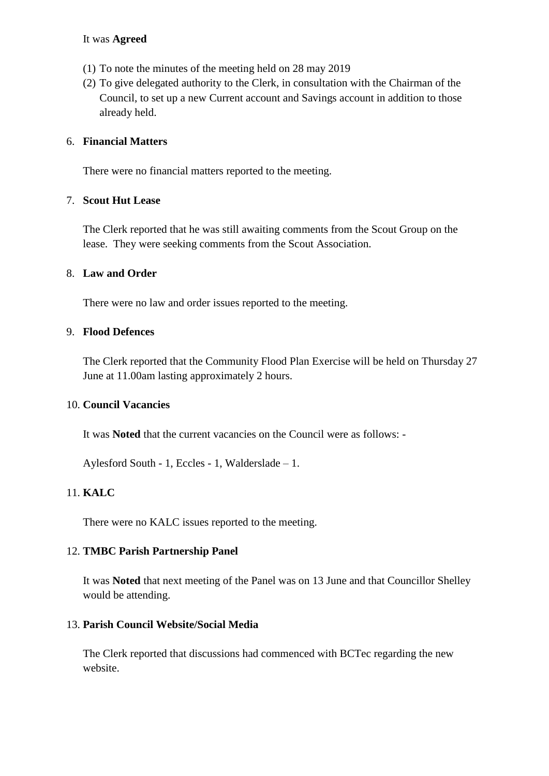#### It was **Agreed**

- (1) To note the minutes of the meeting held on 28 may 2019
- (2) To give delegated authority to the Clerk, in consultation with the Chairman of the Council, to set up a new Current account and Savings account in addition to those already held.

#### 6. **Financial Matters**

There were no financial matters reported to the meeting.

#### 7. **Scout Hut Lease**

The Clerk reported that he was still awaiting comments from the Scout Group on the lease. They were seeking comments from the Scout Association.

#### 8. **Law and Order**

There were no law and order issues reported to the meeting.

#### 9. **Flood Defences**

The Clerk reported that the Community Flood Plan Exercise will be held on Thursday 27 June at 11.00am lasting approximately 2 hours.

#### 10. **Council Vacancies**

It was **Noted** that the current vacancies on the Council were as follows: -

Aylesford South - 1, Eccles - 1, Walderslade – 1.

### 11. **KALC**

There were no KALC issues reported to the meeting.

### 12. **TMBC Parish Partnership Panel**

It was **Noted** that next meeting of the Panel was on 13 June and that Councillor Shelley would be attending.

### 13. **Parish Council Website/Social Media**

The Clerk reported that discussions had commenced with BCTec regarding the new website.